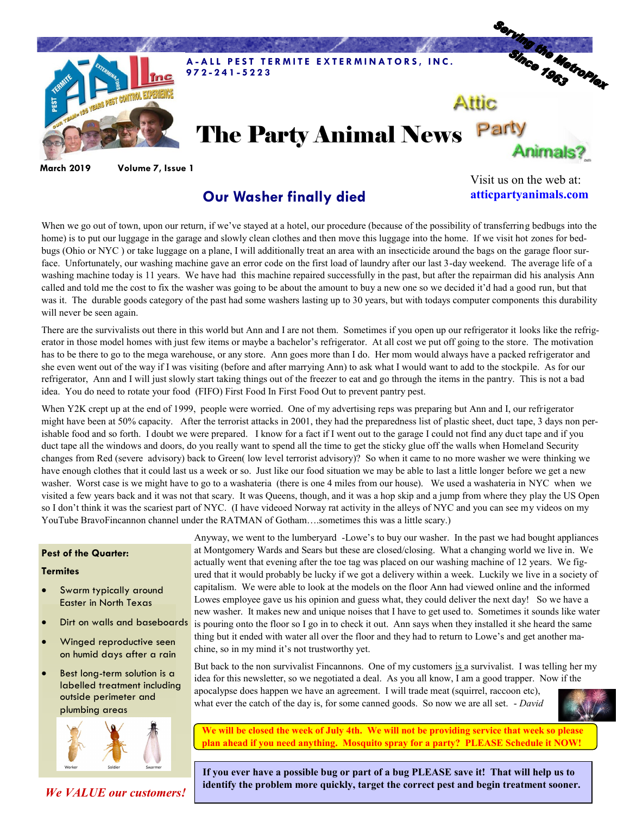

**March 2019 Volume 7, Issue 1**

## **Our Washer finally died**

Visit us on the web at: **atticpartyanimals.com**

When we go out of town, upon our return, if we've stayed at a hotel, our procedure (because of the possibility of transferring bedbugs into the home) is to put our luggage in the garage and slowly clean clothes and then move this luggage into the home. If we visit hot zones for bedbugs (Ohio or NYC ) or take luggage on a plane, I will additionally treat an area with an insecticide around the bags on the garage floor surface. Unfortunately, our washing machine gave an error code on the first load of laundry after our last 3-day weekend. The average life of a washing machine today is 11 years. We have had this machine repaired successfully in the past, but after the repairman did his analysis Ann called and told me the cost to fix the washer was going to be about the amount to buy a new one so we decided it'd had a good run, but that was it. The durable goods category of the past had some washers lasting up to 30 years, but with todays computer components this durability will never be seen again.

There are the survivalists out there in this world but Ann and I are not them. Sometimes if you open up our refrigerator it looks like the refrigerator in those model homes with just few items or maybe a bachelor's refrigerator. At all cost we put off going to the store. The motivation has to be there to go to the mega warehouse, or any store. Ann goes more than I do. Her mom would always have a packed refrigerator and she even went out of the way if I was visiting (before and after marrying Ann) to ask what I would want to add to the stockpile. As for our refrigerator, Ann and I will just slowly start taking things out of the freezer to eat and go through the items in the pantry. This is not a bad idea. You do need to rotate your food (FIFO) First Food In First Food Out to prevent pantry pest.

When Y2K crept up at the end of 1999, people were worried. One of my advertising reps was preparing but Ann and I, our refrigerator might have been at 50% capacity. After the terrorist attacks in 2001, they had the preparedness list of plastic sheet, duct tape, 3 days non perishable food and so forth. I doubt we were prepared. I know for a fact if I went out to the garage I could not find any duct tape and if you duct tape all the windows and doors, do you really want to spend all the time to get the sticky glue off the walls when Homeland Security changes from Red (severe advisory) back to Green( low level terrorist advisory)? So when it came to no more washer we were thinking we have enough clothes that it could last us a week or so. Just like our food situation we may be able to last a little longer before we get a new washer. Worst case is we might have to go to a washateria (there is one 4 miles from our house). We used a washateria in NYC when we visited a few years back and it was not that scary. It was Queens, though, and it was a hop skip and a jump from where they play the US Open so I don't think it was the scariest part of NYC. (I have videoed Norway rat activity in the alleys of NYC and you can see my videos on my YouTube BravoFincannon channel under the RATMAN of Gotham….sometimes this was a little scary.)

## **Pest of the Quarter:**

## **Termites**

- Swarm typically around Easter in North Texas
- Dirt on walls and baseboards
- Winged reproductive seen on humid days after a rain
- Best long-term solution is a labelled treatment including outside perimeter and plumbing areas



*We VALUE our customers!*

Anyway, we went to the lumberyard -Lowe's to buy our washer. In the past we had bought appliances at Montgomery Wards and Sears but these are closed/closing. What a changing world we live in. We actually went that evening after the toe tag was placed on our washing machine of 12 years. We figured that it would probably be lucky if we got a delivery within a week. Luckily we live in a society of capitalism. We were able to look at the models on the floor Ann had viewed online and the informed Lowes employee gave us his opinion and guess what, they could deliver the next day! So we have a new washer. It makes new and unique noises that I have to get used to. Sometimes it sounds like water is pouring onto the floor so I go in to check it out. Ann says when they installed it she heard the same thing but it ended with water all over the floor and they had to return to Lowe's and get another machine, so in my mind it's not trustworthy yet.

But back to the non survivalist Fincannons. One of my customers is a survivalist. I was telling her my idea for this newsletter, so we negotiated a deal. As you all know, I am a good trapper. Now if the apocalypse does happen we have an agreement. I will trade meat (squirrel, raccoon etc), what ever the catch of the day is, for some canned goods. So now we are all set. - *David*

**We will be closed the week of July 4th. We will not be providing service that week so please plan ahead if you need anything. Mosquito spray for a party? PLEASE Schedule it NOW!** 

**If you ever have a possible bug or part of a bug PLEASE save it! That will help us to identify the problem more quickly, target the correct pest and begin treatment sooner.**